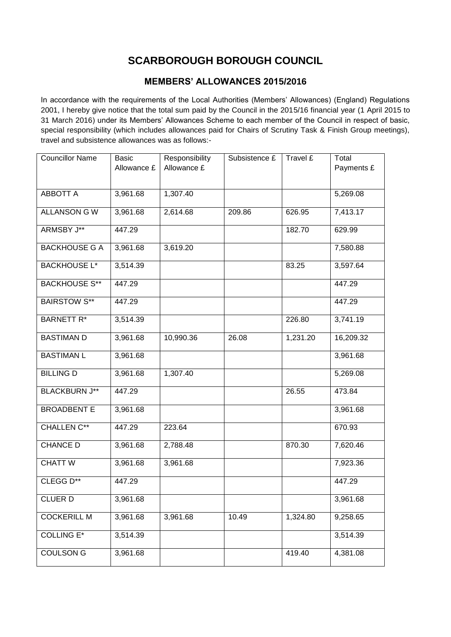## **SCARBOROUGH BOROUGH COUNCIL**

## **MEMBERS' ALLOWANCES 2015/2016**

In accordance with the requirements of the Local Authorities (Members' Allowances) (England) Regulations 2001, I hereby give notice that the total sum paid by the Council in the 2015/16 financial year (1 April 2015 to 31 March 2016) under its Members' Allowances Scheme to each member of the Council in respect of basic, special responsibility (which includes allowances paid for Chairs of Scrutiny Task & Finish Group meetings), travel and subsistence allowances was as follows:-

| <b>Councillor Name</b> | <b>Basic</b><br>Allowance £ | Responsibility<br>Allowance £ | Subsistence £ | Travel £ | Total<br>Payments £ |
|------------------------|-----------------------------|-------------------------------|---------------|----------|---------------------|
|                        |                             |                               |               |          |                     |
| <b>ABBOTT A</b>        | 3,961.68                    | 1,307.40                      |               |          | 5,269.08            |
| <b>ALLANSON G W</b>    | 3,961.68                    | 2,614.68                      | 209.86        | 626.95   | 7,413.17            |
| ARMSBY J**             | 447.29                      |                               |               | 182.70   | 629.99              |
| <b>BACKHOUSE G A</b>   | 3,961.68                    | 3,619.20                      |               |          | 7,580.88            |
| <b>BACKHOUSE L*</b>    | 3,514.39                    |                               |               | 83.25    | 3,597.64            |
| <b>BACKHOUSE S**</b>   | 447.29                      |                               |               |          | 447.29              |
| <b>BAIRSTOW S**</b>    | 447.29                      |                               |               |          | 447.29              |
| <b>BARNETT R*</b>      | 3,514.39                    |                               |               | 226.80   | 3,741.19            |
| <b>BASTIMAN D</b>      | 3,961.68                    | 10,990.36                     | 26.08         | 1,231.20 | 16,209.32           |
| <b>BASTIMAN L</b>      | 3,961.68                    |                               |               |          | 3,961.68            |
| <b>BILLING D</b>       | 3,961.68                    | 1,307.40                      |               |          | 5,269.08            |
| <b>BLACKBURN J**</b>   | 447.29                      |                               |               | 26.55    | 473.84              |
| <b>BROADBENT E</b>     | 3,961.68                    |                               |               |          | 3,961.68            |
| <b>CHALLEN C**</b>     | 447.29                      | 223.64                        |               |          | 670.93              |
| <b>CHANCE D</b>        | 3,961.68                    | 2,788.48                      |               | 870.30   | 7,620.46            |
| <b>CHATT W</b>         | 3,961.68                    | 3,961.68                      |               |          | 7,923.36            |
| CLEGG D**              | 447.29                      |                               |               |          | 447.29              |
| <b>CLUER D</b>         | 3,961.68                    |                               |               |          | 3,961.68            |
| <b>COCKERILL M</b>     | 3,961.68                    | 3,961.68                      | 10.49         | 1,324.80 | 9,258.65            |
| <b>COLLING E*</b>      | 3,514.39                    |                               |               |          | 3,514.39            |
| COULSON G              | 3,961.68                    |                               |               | 419.40   | 4,381.08            |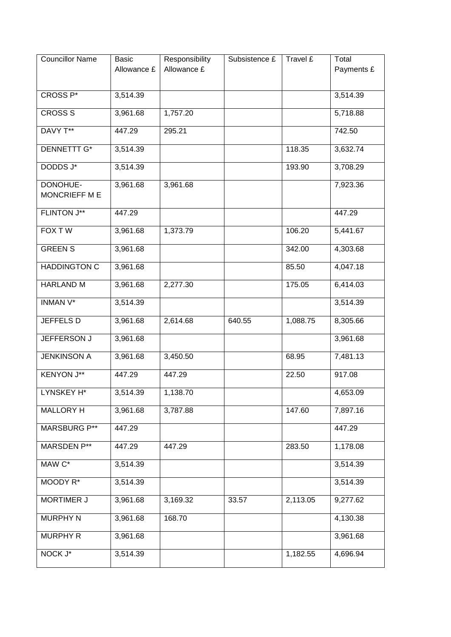| <b>Councillor Name</b>    | <b>Basic</b><br>Allowance £ | Responsibility<br>Allowance £ | Subsistence £ | Travel £ | Total<br>Payments £ |
|---------------------------|-----------------------------|-------------------------------|---------------|----------|---------------------|
| CROSS <sub>P</sub> *      | 3,514.39                    |                               |               |          | 3,514.39            |
| <b>CROSS S</b>            | 3,961.68                    | 1,757.20                      |               |          | 5,718.88            |
| DAVY T**                  | 447.29                      | 295.21                        |               |          | 742.50              |
| <b>DENNETTT G*</b>        | 3,514.39                    |                               |               | 118.35   | 3,632.74            |
| DODDS J*                  | 3,514.39                    |                               |               | 193.90   | 3,708.29            |
| DONOHUE-<br>MONCRIEFF M E | 3,961.68                    | 3,961.68                      |               |          | 7,923.36            |
| <b>FLINTON J**</b>        | 447.29                      |                               |               |          | 447.29              |
| <b>FOX TW</b>             | 3,961.68                    | 1,373.79                      |               | 106.20   | 5,441.67            |
| <b>GREEN S</b>            | 3,961.68                    |                               |               | 342.00   | 4,303.68            |
| <b>HADDINGTON C</b>       | 3,961.68                    |                               |               | 85.50    | 4,047.18            |
| <b>HARLAND M</b>          | 3,961.68                    | 2,277.30                      |               | 175.05   | 6,414.03            |
| <b>INMAN V*</b>           | 3,514.39                    |                               |               |          | 3,514.39            |
| JEFFELS D                 | 3,961.68                    | 2,614.68                      | 640.55        | 1,088.75 | 8,305.66            |
| JEFFERSON J               | 3,961.68                    |                               |               |          | 3,961.68            |
| <b>JENKINSON A</b>        | 3,961.68                    | 3,450.50                      |               | 68.95    | 7,481.13            |
| <b>KENYON J**</b>         | 447.29                      | 447.29                        |               | 22.50    | 917.08              |
| LYNSKEY H*                | 3,514.39                    | 1,138.70                      |               |          | 4,653.09            |
| <b>MALLORY H</b>          | 3,961.68                    | 3,787.88                      |               | 147.60   | 7,897.16            |
| <b>MARSBURG P**</b>       | 447.29                      |                               |               |          | 447.29              |
| <b>MARSDEN P**</b>        | 447.29                      | 447.29                        |               | 283.50   | 1,178.08            |
| MAW C*                    | 3,514.39                    |                               |               |          | 3,514.39            |
| MOODY R*                  | 3,514.39                    |                               |               |          | 3,514.39            |
| <b>MORTIMER J</b>         | 3,961.68                    | 3,169.32                      | 33.57         | 2,113.05 | 9,277.62            |
| <b>MURPHY N</b>           | 3,961.68                    | 168.70                        |               |          | 4,130.38            |
| <b>MURPHY R</b>           | 3,961.68                    |                               |               |          | 3,961.68            |
| NOCK J*                   | 3,514.39                    |                               |               | 1,182.55 | 4,696.94            |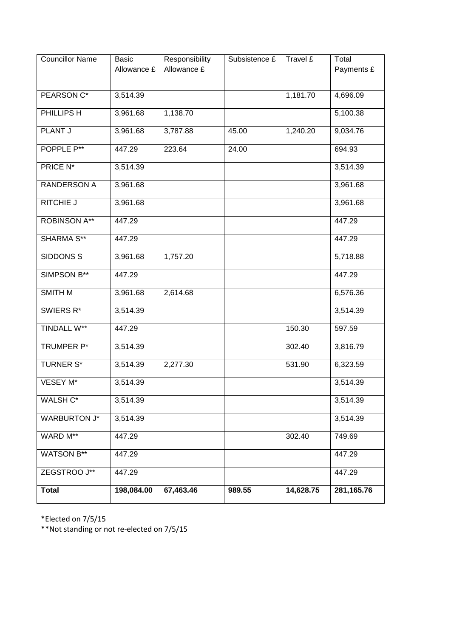| <b>Councillor Name</b> | <b>Basic</b><br>Allowance £ | Responsibility<br>Allowance £ | Subsistence £ | Travel £  | Total<br>Payments £ |
|------------------------|-----------------------------|-------------------------------|---------------|-----------|---------------------|
|                        |                             |                               |               |           |                     |
| PEARSON C*             | 3,514.39                    |                               |               | 1,181.70  | 4,696.09            |
| PHILLIPS H             | 3,961.68                    | 1,138.70                      |               |           | 5,100.38            |
| <b>PLANT J</b>         | 3,961.68                    | 3,787.88                      | 45.00         | 1,240.20  | 9,034.76            |
| POPPLE P**             | 447.29                      | 223.64                        | 24.00         |           | 694.93              |
| PRICE N*               | 3,514.39                    |                               |               |           | 3,514.39            |
| RANDERSON A            | 3,961.68                    |                               |               |           | 3,961.68            |
| <b>RITCHIE J</b>       | 3,961.68                    |                               |               |           | 3,961.68            |
| <b>ROBINSON A**</b>    | 447.29                      |                               |               |           | 447.29              |
| <b>SHARMA S**</b>      | 447.29                      |                               |               |           | 447.29              |
| <b>SIDDONS S</b>       | 3,961.68                    | 1,757.20                      |               |           | 5,718.88            |
| SIMPSON B**            | 447.29                      |                               |               |           | 447.29              |
| <b>SMITH M</b>         | 3,961.68                    | 2,614.68                      |               |           | 6,576.36            |
| SWIERS R*              | 3,514.39                    |                               |               |           | 3,514.39            |
| <b>TINDALL W**</b>     | 447.29                      |                               |               | 150.30    | 597.59              |
| TRUMPER P*             | 3,514.39                    |                               |               | 302.40    | 3,816.79            |
| <b>TURNER S*</b>       | 3,514.39                    | 2,277.30                      |               | 531.90    | 6,323.59            |
| VESEY M*               | 3,514.39                    |                               |               |           | 3,514.39            |
| WALSH C*               | 3,514.39                    |                               |               |           | 3,514.39            |
| WARBURTON J*           | 3,514.39                    |                               |               |           | 3,514.39            |
| WARD M**               | 447.29                      |                               |               | 302.40    | 749.69              |
| WATSON B**             | 447.29                      |                               |               |           | 447.29              |
| ZEGSTROO J**           | 447.29                      |                               |               |           | 447.29              |
| <b>Total</b>           | 198,084.00                  | 67,463.46                     | 989.55        | 14,628.75 | 281,165.76          |

\*Elected on 7/5/15

\*\*Not standing or not re-elected on 7/5/15